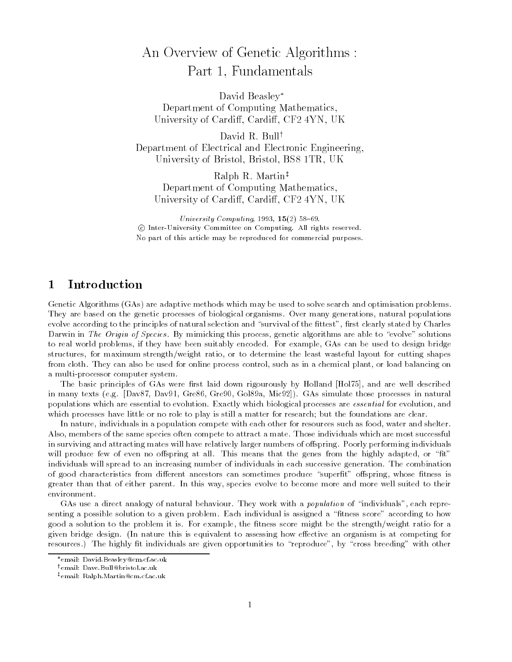# An Overview of Genetic Algorithms : Part 1, Fundamentals

David Beasley Department of Computing Mathematics,University of Cardiff, Cardiff, CF2 4YN, UK

David R. Bull<sup>†</sup> Department of Electrical and Electronic Engineering,University of Bristol, Bristol, BS8 1TR, UK

Ralph R. Martin<sup>‡</sup> Department of Computing Mathematics,University of Cardiff, Cardiff, CF2 4YN, UK

University Computing, 1993,  $15(2)$  58-69. <sup>c</sup> Inter-University Committee on Computing. All rights reserved. No part of this article may be reproduced for commercial purposes.

#### $\mathbf{1}$ **Introduction**

Genetic Algorithms (GAs) are adaptive methods which may be used to solve search and optimisation problems. They are based on the genetic processes of biological organisms. Over many generations, natural populations evolve according to the principles of natural selection and "survival of the fittest", first clearly stated by Charles Darwin in The Origin of Species. By mimicking this process, genetic algorithms are able to "evolve" solutions to real world problems, if they have been suitably encoded. For example, GAs can be used to design bridge structures, for maximum strength/weight ratio, or to determine the least wasteful layout for cutting shapes from cloth. They can also be used for online process control, such as in a chemical plant, or load balancing on a multi-processor computer system.

The basic principles of GAs were first laid down rigourously by Holland [Hol75], and are well described in many texts (e.g. [Dav87, Dav91, Gre86, Gre90, Gol89a, Mic92]). GAs simulate those processes in natural populations which are essential to evolution. Exactly which biological processes are essential for evolution, and which processes have little or no role to play is still a matter for research; but the foundations are clear.

In nature, individuals in a population compete with each other for resources such as food, water and shelter. Also, members of the same species often compete to attract a mate. Those individuals which are most successful in surviving and attracting mates will have relatively larger numbers of offspring. Poorly performing individuals will produce few of even no offspring at all. This means that the genes from the highly adapted, or "fit" individuals will spread to an increasing number of individuals in each successive generation. The combination of good characteristics from different ancestors can sometimes produce "superfit" offspring, whose fitness is greater than that of either parent. In this way, species evolve to become more and more well suited to their environment.

GAs use a direct analogy of natural behaviour. They work with a *population* of "individuals", each representing a possible solution to a given problem. Each individual is assigned a "fitness score" according to how good a solution to the problem it is. For example, the fitness score might be the strength/weight ratio for a given bridge design. (In nature this is equivalent to assessing how effective an organism is at competing for resources.) The highly fit individuals are given opportunities to "reproduce", by "cross breeding" with other

email: David.Beasley@cm.cf.ac.uk

<sup>&</sup>lt;sup>†</sup>email: Dave.Bull@bristol.ac.uk

 $\frac{1}{2}$ email: Ralph.Martin@cm.cf.ac.uk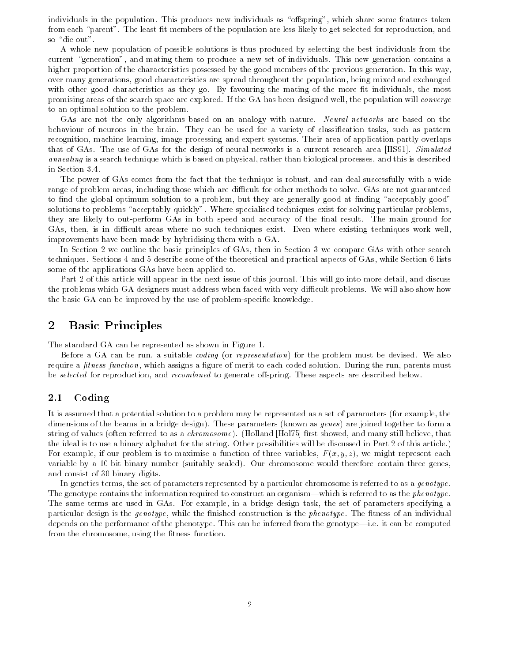individuals in the population. This produces new individuals as "offspring", which share some features taken from each "parent". The least fit members of the population are less likely to get selected for reproduction, and so "die out".

A whole new population of possible solutions is thus produced by selecting the best individuals from the current "generation", and mating them to produce a new set of individuals. This new generation contains a higher proportion of the characteristics possessed by the good members of the previous generation. In this way, over many generations, good characteristics are spread throughout the population, being mixed and exchanged with other good characteristics as they go. By favouring the mating of the more fit individuals, the most promising areas of the search space are explored. If the GA has been designed well, the population will converge to an optimal solution to the problem.

GAs are not the only algorithms based on an analogy with nature. Neural networks are based on the behaviour of neurons in the brain. They can be used for a variety of classication tasks, such as pattern recognition, machine learning, image processing and expert systems. Their area of application partly overlaps that of GAs. The use of GAs for the design of neural networks is a current research area [HS91]. Simulated annealing is a search technique which is based on physical, rather than biological processes, and this is described in Section 3.4.

The power of GAs comes from the fact that the technique is robust, and can deal successfully with a wide range of problem areas, including those which are difficult for other methods to solve. GAs are not guaranteed to find the global optimum solution to a problem, but they are generally good at finding "acceptably good" solutions to problems "acceptably quickly". Where specialised techniques exist for solving particular problems, they are likely to out-perform GAs in both speed and accuracy of the final result. The main ground for GAs, then, is in difficult areas where no such techniques exist. Even where existing techniques work well, improvements have been made by hybridising them with a GA.

In Section 2 we outline the basic principles of GAs, then in Section 3 we compare GAs with other search techniques. Sections 4 and 5 describe some of the theoretical and practical aspects of GAs, while Section 6 lists some of the applications GAs have been applied to.

Part 2 of this article will appear in the next issue of this journal. This will go into more detail, and discuss the problems which GA designers must address when faced with very difficult problems. We will also show how the basic GA can be improved by the use of problem-specic knowledge.

## 2 Basic Principles

The standard GA can be represented as shown in Figure 1.

Before a GA can be run, a suitable *coding* (or *representation*) for the problem must be devised. We also require a *fitness function*, which assigns a figure of merit to each coded solution. During the run, parents must be selected for reproduction, and recombined to generate offspring. These aspects are described below.

#### 2.1Coding

It is assumed that a potential solution to a problem may be represented as a set of parameters (for example, the dimensions of the beams in a bridge design). These parameters (known as genes) are joined together to form a string of values (often referred to as a *chromosome*). (Holland [Hol75] first showed, and many still believe, that the ideal is to use a binary alphabet for the string. Other possibilities will be discussed in Part 2 of this article.) For example, if our problem is to maximise a function of three variables,  $F(x, y, z)$ , we might represent each variable by a 10-bit binary number (suitably scaled). Our chromosome would therefore contain three genes, and consist of 30 binary digits.

In genetics terms, the set of parameters represented by a particular chromosome is referred to as a genotype. The genotype contains the information required to construct an organism—which is referred to as the *phenotype*. The same terms are used in GAs. For example, in a bridge design task, the set of parameters specifying a particular design is the genotype, while the finished construction is the phenotype. The fitness of an individual depends on the performance of the phenotype. This can be inferred from the genotype—i.e. it can be computed from the chromosome, using the fitness function.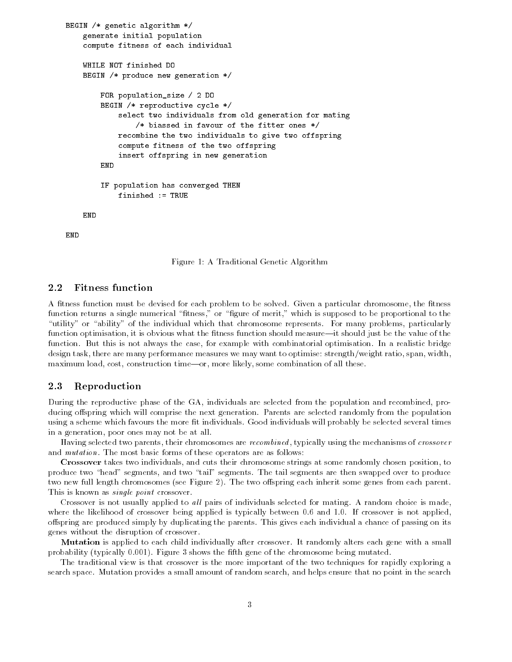```
BEGIN /* genetic algorithm */
    generate initial population
    compute fitness of each individual
    WHILE NOT finished DO
    BEGIN /* produce new generation */
        FOR population_size / 2 DO
        BEGIN /* reproductive cycle */
            select two individuals from old generation for mating
                /* biassed in favour of the fitter ones */
            recombine the two individuals to give two offspring
            compute fitness of the two offspring
            insert offspring in new generation
        END
        IF population has converged THEN
            finished := TRUE
    END
END
```
Figure 1: A Traditional Genetic Algorithm

#### 2.2 Fitness function . . . .

A fitness function must be devised for each problem to be solved. Given a particular chromosome, the fitness function returns a single numerical "fitness," or "figure of merit," which is supposed to be proportional to the "utility" or "ability" of the individual which that chromosome represents. For many problems, particularly function optimisation, it is obvious what the fitness function should measure—it should just be the value of the function. But this is not always the case, for example with combinatorial optimisation. In a realistic bridge design task, there are many performance measures we may want to optimise: strength/weight ratio, span, width, maximum load, cost, construction time—or, more likely, some combination of all these.

#### 2.3Reproduction

During the reproductive phase of the GA, individuals are selected from the population and recombined, producing offspring which will comprise the next generation. Parents are selected randomly from the population using a scheme which favours the more fit individuals. Good individuals will probably be selected several times in a generation, poor ones may not be at all.

Having selected two parents, their chromosomes are recombined, typically using the mechanisms of crossover and mutation. The most basic forms of these operators are as follows:

Crossover takes two individuals, and cuts their chromosome strings at some randomly chosen position, to produce two "head" segments, and two "tail" segments. The tail segments are then swapped over to produce two new full length chromosomes (see Figure 2). The two offspring each inherit some genes from each parent. This is known as single point crossover.

Crossover is not usually applied to all pairs of individuals selected for mating. A random choice is made, where the likelihood of crossover being applied is typically between 0.6 and 1.0. If crossover is not applied, offspring are produced simply by duplicating the parents. This gives each individual a chance of passing on its genes without the disruption of crossover.

Mutation is applied to each child individually after crossover. It randomly alters each gene with a small probability (typically 0.001). Figure 3 shows the fth gene of the chromosome being mutated.

The traditional view is that crossover is the more important of the two techniques for rapidly exploring a search space. Mutation provides a small amount of random search, and helps ensure that no point in the search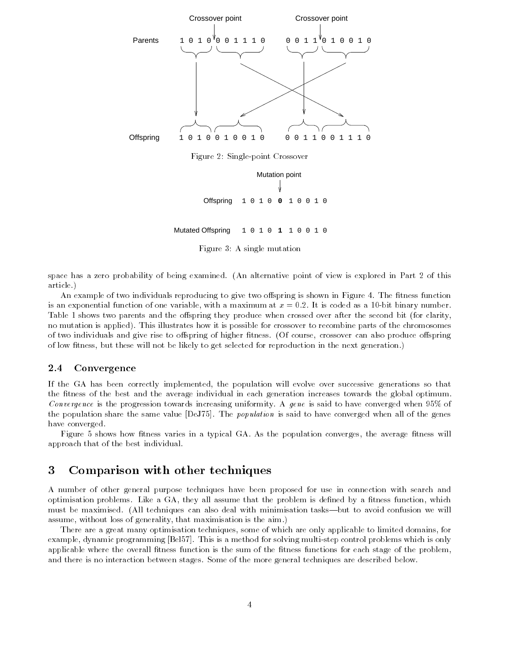

Figure 3: A single mutation

space has a zero probability of being examined. (An alternative point of view is explored in Part 2 of this article.)

An example of two individuals reproducing to give two offspring is shown in Figure 4. The fitness function is an exponential function of one variable, with a maximum at  $x = 0.2$ . It is coded as a 10-bit binary number. Table 1 shows two parents and the offspring they produce when crossed over after the second bit (for clarity, no mutation is applied). This illustrates how it is possible for crossover to recombine parts of the chromosomes of two individuals and give rise to offspring of higher fitness. (Of course, crossover can also produce offspring of low fitness, but these will not be likely to get selected for reproduction in the next generation.)

#### 2.4Convergence

If the GA has been correctly implemented, the population will evolve over successive generations so that the fitness of the best and the average individual in each generation increases towards the global optimum. Convergence is the progression towards increasing uniformity. A gene is said to have converged when 95% of the population share the same value [DeJ75]. The population is said to have converged when all of the genes have converged.

Figure 5 shows how fitness varies in a typical GA. As the population converges, the average fitness will approach that of the best individual.

#### 3 Comparison with other techniques

A number of other general purpose techniques have been proposed for use in connection with search and optimisation problems. Like a GA, they all assume that the problem is defined by a fitness function, which must be maximised. (All techniques can also deal with minimisation tasks—but to avoid confusion we will assume, without loss of generality, that maximisation is the aim.)

There are a great many optimisation techniques, some of which are only applicable to limited domains, for example, dynamic programming [Bel57]. This is a method for solving multi-step control problems which is only applicable where the overall fitness function is the sum of the fitness functions for each stage of the problem, and there is no interaction between stages. Some of the more general techniques are described below.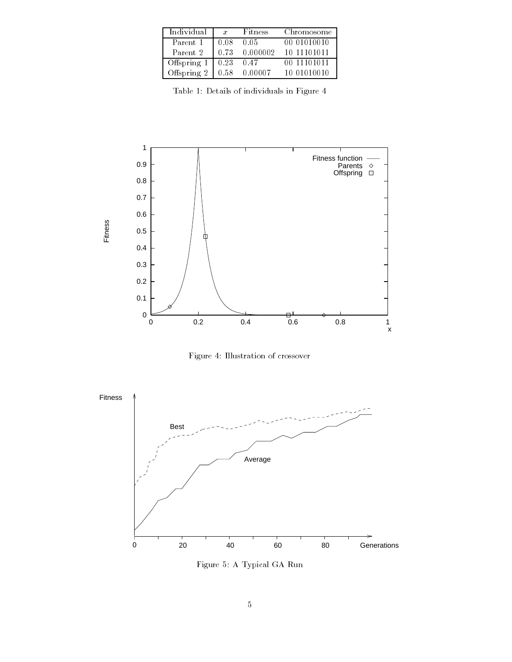| Individual  | x     | Fitness  | Chromosome  |
|-------------|-------|----------|-------------|
| Parent 1    | -0.08 | 0.05     | 00 01010010 |
| Parent 2    | 0.73  | 0.000002 | 10 11101011 |
| Offspring 1 | 0.23  | 0.47     | 00 11101011 |
| Offspring 2 | 0.58  | .0 00007 | 10 01010010 |

Table 1: Details of individuals in Figure 4



Figure 4: Illustration of crossover



Figure 5: A Typical GA Run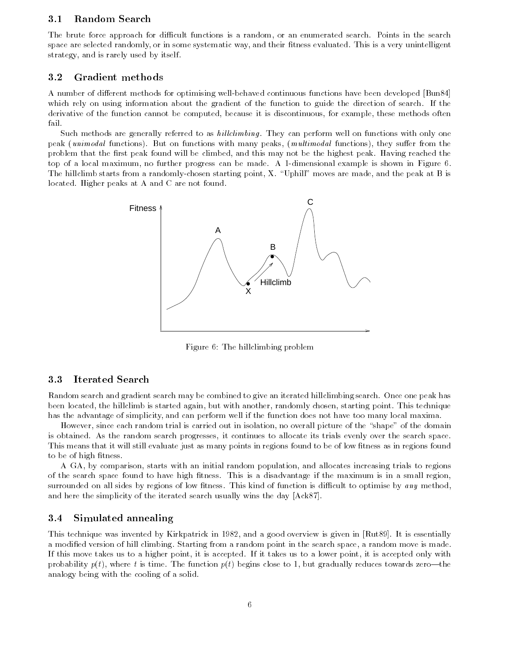#### 3.1Random Search

The brute force approach for difficult functions is a random, or an enumerated search. Points in the search space are selected randomly, or in some systematic way, and their fitness evaluated. This is a very unintelligent strategy, and is rarely used by itself.

#### 3.2Gradient methods

A number of different methods for optimising well-behaved continuous functions have been developed [Bun84] which rely on using information about the gradient of the function to guide the direction of search. If the derivative of the function cannot be computed, because it is discontinuous, for example, these methods often fail.

Such methods are generally referred to as *hillclimbing*. They can perform well on functions with only one peak (unimodal functions). But on functions with many peaks, (multimodal functions), they suffer from the problem that the first peak found will be climbed, and this may not be the highest peak. Having reached the top of a local maximum, no further progress can be made. A 1-dimensional example is shown in Figure 6. The hillclimb starts from a randomly-chosen starting point, X. "Uphill" moves are made, and the peak at B is located. Higher peaks at A and C are not found.



Figure 6: The hillclimbing problem

#### 3.3Iterated Search

Random search and gradient search may be combined to give an iterated hillclimbing search. Once one peak has been located, the hillclimb is started again, but with another, randomly chosen, starting point. This technique has the advantage of simplicity, and can perform well if the function does not have too many local maxima.

However, since each random trial is carried out in isolation, no overall picture of the \shape" of the domain is obtained. As the random search progresses, it continues to allocate its trials evenly over the search space. This means that it will still evaluate just as many points in regions found to be of low fitness as in regions found to be of high fitness.

A GA, by comparison, starts with an initial random population, and allocates increasing trials to regions of the search space found to have high fitness. This is a disadvantage if the maximum is in a small region, surrounded on all sides by regions of low fitness. This kind of function is difficult to optimise by any method, and here the simplicity of the iterated search usually wins the day [Ack87].

#### 3.4Simulated annealing

This technique was invented by Kirkpatrick in 1982, and a good overview is given in [Rut89]. It is essentially a modied version of hill climbing. Starting from a random point in the search space, a random move is made. If this move takes us to a higher point, it is accepted. If it takes us to a lower point, it is accepted only with probability  $p(t)$ , where t is time. The function  $p(t)$  begins close to 1, but gradually reduces towards zero—the analogy being with the cooling of a solid.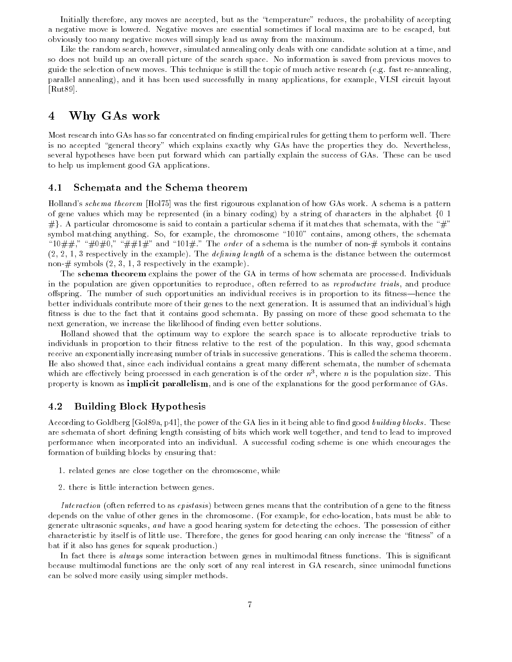Initially therefore, any moves are accepted, but as the \temperature" reduces, the probability of accepting a negative move is lowered. Negative moves are essential sometimes if local maxima are to be escaped, but obviously too many negative moves will simply lead us away from the maximum.

Like the random search, however, simulated annealing only deals with one candidate solution at a time, and so does not build up an overall picture of the search space. No information is saved from previous moves to guide the selection of new moves. This technique is still the topic of much active research (e.g. fast re-annealing, parallel annealing), and it has been used successfully in many applications, for example, VLSI circuit layout [Rut89].

## 4 Why GAs work

Most research into GAs has so far concentrated on finding empirical rules for getting them to perform well. There is no accepted "general theory" which explains exactly why GAs have the properties they do. Nevertheless, several hypotheses have been put forward which can partially explain the success of GAs. These can be used to help us implement good GA applications.

#### 4.1Schemata and the Schema theorem

Holland's schema theorem [Hol75] was the first rigourous explanation of how GAs work. A schema is a pattern of gene values which may be represented (in a binary coding) by a string of characters in the alphabet f0 1  $\#$ . A particular chromosome is said to contain a particular schema if it matches that schemata, with the " $\#$ " symbol matching anything. So, for example, the chromosome "1010" contains, among others, the schemata " $10 \# \#$ ," " $\#0 \#0$ ," " $\# \#1 \#$ " and " $101 \#$ ." The *order* of a schema is the number of non- $\#$  symbols it contains  $(2, 2, 1, 3$  respectively in the example). The *defining length* of a schema is the distance between the outermost non- $\#$  symbols  $(2, 3, 1, 3$  respectively in the example).

The schema theorem explains the power of the GA in terms of how schemata are processed. Individuals in the population are given opportunities to reproduce, often referred to as reproductive trials, and produce offspring. The number of such opportunities an individual receives is in proportion to its fitness—hence the better individuals contribute more of their genes to the next generation. It is assumed that an individual's high fitness is due to the fact that it contains good schemata. By passing on more of these good schemata to the next generation, we increase the likelihood of nding even better solutions.

Holland showed that the optimum way to explore the search space is to allocate reproductive trials to individuals in proportion to their fitness relative to the rest of the population. In this way, good schemata receive an exponentially increasing number of trials in successive generations. This is called the schema theorem. He also showed that, since each individual contains a great many different schemata, the number of schemata which are effectively being processed in each generation is of the order  $n^-,$  where  $n$  is the population size. This property is known as implicit parallelism, and is one of the explanations for the good performance of GAs.

#### 4.2Building Block Hypothesis

According to Goldberg [Gol89a, p41], the power of the GA lies in it being able to find good building blocks. These are schemata of short defining length consisting of bits which work well together, and tend to lead to improved performance when incorporated into an individual. A successful coding scheme is one which encourages the formation of building blocks by ensuring that:

- 1. related genes are close together on the chromosome, while
- 2. there is little interaction between genes.

Interaction (often referred to as epistasis) between genes means that the contribution of a gene to the fitness depends on the value of other genes in the chromosome. (For example, for echo-location, bats must be able to generate ultrasonic squeaks, and have a good hearing system for detecting the echoes. The possession of either characteristic by itself is of little use. Therefore, the genes for good hearing can only increase the \tness" of a bat if it also has genes for squeak production.)

In fact there is *always* some interaction between genes in multimodal fitness functions. This is significant because multimodal functions are the only sort of any real interest in GA research, since unimodal functions can be solved more easily using simpler methods.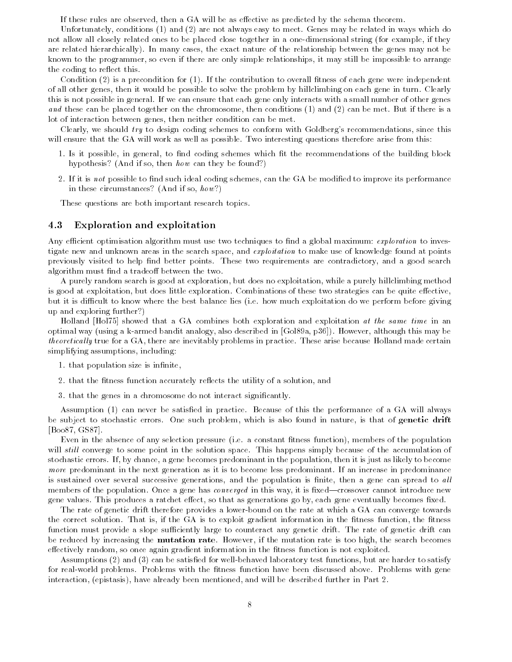If these rules are observed, then a GA will be as effective as predicted by the schema theorem.

Unfortunately, conditions (1) and (2) are not always easy to meet. Genes may be related in ways which do not allow all closely related ones to be placed close together in a one-dimensional string (for example, if they are related hierarchically). In many cases, the exact nature of the relationship between the genes may not be known to the programmer, so even if there are only simple relationships, it may still be impossible to arrange the coding to reflect this.

Condition (2) is a precondition for (1). If the contribution to overall fitness of each gene were independent of all other genes, then it would be possible to solve the problem by hillclimbing on each gene in turn. Clearly this is not possible in general. If we can ensure that each gene only interacts with a small number of other genes and these can be placed together on the chromosome, then conditions (1) and (2) can be met. But if there is a lot of interaction between genes, then neither condition can be met.

Clearly, we should try to design coding schemes to conform with Goldberg's recommendations, since this will ensure that the GA will work as well as possible. Two interesting questions therefore arise from this:

- 1. Is it possible, in general, to find coding schemes which fit the recommendations of the building block hypothesis? (And if so, then *how* can they be found?)
- 2. If it is not possible to find such ideal coding schemes, can the GA be modified to improve its performance in these circumstances? (And if so,  $h \circ w$ ?)

These questions are both important research topics.

#### 4.3Exploration and exploitation

Any efficient optimisation algorithm must use two techniques to find a global maximum: exploration to investigate new and unknown areas in the search space, and exploitation to make use of knowledge found at points previously visited to help find better points. These two requirements are contradictory, and a good search algorithm must find a tradeoff between the two.

A purely random search is good at exploration, but does no exploitation, while a purely hillclimbing method is good at exploitation, but does little exploration. Combinations of these two strategies can be quite effective, but it is difficult to know where the best balance lies (i.e. how much exploitation do we perform before giving up and exploring further?)

Holland [Hol75] showed that a GA combines both exploration and exploitation at the same time in an optimal way (using a k-armed bandit analogy, also described in [Gol89a, p36]). However, although this may be theoretically true for a GA, there are inevitably problems in practice. These arise because Holland made certain simplifying assumptions, including:

- 1. that population size is infinite,
- 2. that the fitness function accurately reflects the utility of a solution, and
- 3. that the genes in a chromosome do not interact signicantly.

Assumption (1) can never be satisfied in practice. Because of this the performance of a GA will always be subject to stochastic errors. One such problem, which is also found in nature, is that of genetic drift [Boo87, GS87].

Even in the absence of any selection pressure (i.e. a constant tness function), members of the population will *still* converge to some point in the solution space. This happens simply because of the accumulation of stochastic errors. If, by chance, a gene becomes predominant in the population, then it is just as likely to become more predominant in the next generation as it is to become less predominant. If an increase in predominance is sustained over several successive generations, and the population is finite, then a gene can spread to all members of the population. Once a gene has *converged* in this way, it is fixed—crossover cannot introduce new gene values. This produces a ratchet effect, so that as generations go by, each gene eventually becomes fixed.

The rate of genetic drift therefore provides a lower-bound on the rate at which a GA can converge towards the correct solution. That is, if the GA is to exploit gradient information in the fitness function, the fitness function must provide a slope sufficiently large to counteract any genetic drift. The rate of genetic drift can be reduced by increasing the mutation rate. However, if the mutation rate is too high, the search becomes effectively random, so once again gradient information in the fitness function is not exploited.

Assumptions (2) and (3) can be satisfied for well-behaved laboratory test functions, but are harder to satisfy for real-world problems. Problems with the fitness function have been discussed above. Problems with gene interaction, (epistasis), have already been mentioned, and will be described further in Part 2.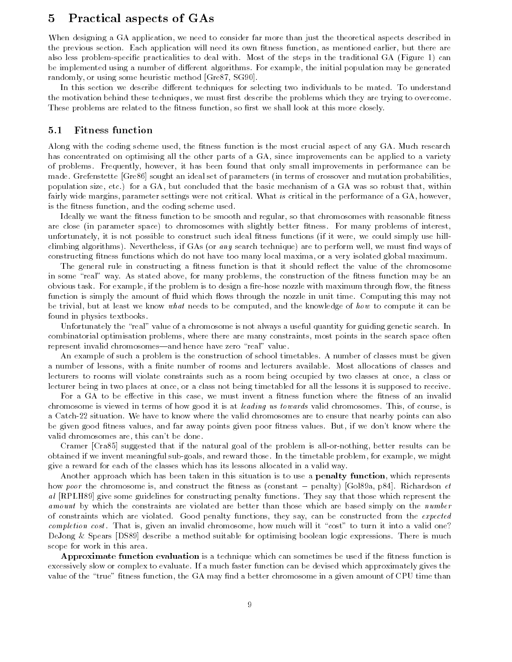## 5 Practical aspects of GAs

When designing a GA application, we need to consider far more than just the theoretical aspects described in the previous section. Each application will need its own fitness function, as mentioned earlier, but there are also less problem-specific practicalities to deal with. Most of the steps in the traditional GA (Figure 1) can be implemented using a number of different algorithms. For example, the initial population may be generated randomly, or using some heuristic method [Gre87, SG90].

In this section we describe different techniques for selecting two individuals to be mated. To understand the motivation behind these techniques, we must first describe the problems which they are trying to overcome. These problems are related to the fitness function, so first we shall look at this more closely.

#### 5.1Fitness function

Along with the coding scheme used, the fitness function is the most crucial aspect of any GA. Much research has concentrated on optimising all the other parts of a GA, since improvements can be applied to a variety of problems. Frequently, however, it has been found that only small improvements in performance can be made. Grefenstette [Gre86] sought an ideal set of parameters (in terms of crossover and mutation probabilities, population size, etc.) for a GA, but concluded that the basic mechanism of a GA was so robust that, within fairly wide margins, parameter settings were not critical. What is critical in the performance of a GA, however, is the fitness function, and the coding scheme used.

Ideally we want the fitness function to be smooth and regular, so that chromosomes with reasonable fitness are close (in parameter space) to chromosomes with slightly better fitness. For many problems of interest, unfortunately, it is not possible to construct such ideal fitness functions (if it were, we could simply use hillclimbing algorithms). Nevertheless, if GAs (or any search technique) are to perform well, we must find ways of constructing fitness functions which do not have too many local maxima, or a very isolated global maximum.

The general rule in constructing a fitness function is that it should reflect the value of the chromosome in some "real" way. As stated above, for many problems, the construction of the fitness function may be an obvious task. For example, if the problem is to design a fire-hose nozzle with maximum through flow, the fitness function is simply the amount of fluid which flows through the nozzle in unit time. Computing this may not be trivial, but at least we know what needs to be computed, and the knowledge of how to compute it can be found in physics textbooks.

Unfortunately the "real" value of a chromosome is not always a useful quantity for guiding genetic search. In combinatorial optimisation problems, where there are many constraints, most points in the search space often represent invalid chromosomes—and hence have zero "real" value.

An example of such a problem is the construction of school timetables. A number of classes must be given a number of lessons, with a finite number of rooms and lecturers available. Most allocations of classes and lecturers to rooms will violate constraints such as a room being occupied by two classes at once, a class or lecturer being in two places at once, or a class not being timetabled for all the lessons it is supposed to receive.

For a GA to be effective in this case, we must invent a fitness function where the fitness of an invalid chromosome is viewed in terms of how good it is at leading us towards valid chromosomes. This, of course, is a Catch-22 situation. We have to know where the valid chromosomes are to ensure that nearby points can also be given good fitness values, and far away points given poor fitness values. But, if we don't know where the valid chromosomes are, this can't be done.

Cramer [Cra85] suggested that if the natural goal of the problem is all-or-nothing, better results can be obtained if we invent meaningful sub-goals, and reward those. In the timetable problem, for example, we might give a reward for each of the classes which has its lessons allocated in a valid way.

Another approach which has been taken in this situation is to use a penalty function, which represents how poor the chromosome is, and construct the fitness as (constant  $-$  penalty) [Gol89a, p84]. Richardson et al [RPLH89] give some guidelines for constructing penalty functions. They say that those which represent the amount by which the constraints are violated are better than those which are based simply on the number of constraints which are violated. Good penalty functions, they say, can be constructed from the expected  $completion cost. That is, given an invalid chromosome, how much will it "cost" to turn it into a valid one?$ DeJong & Spears [DS89] describe a method suitable for optimising boolean logic expressions. There is much scope for work in this area.

**Approximate function evaluation** is a technique which can sometimes be used if the fitness function is excessively slow or complex to evaluate. If a much faster function can be devised which approximately gives the value of the "true" fitness function, the GA may find a better chromosome in a given amount of CPU time than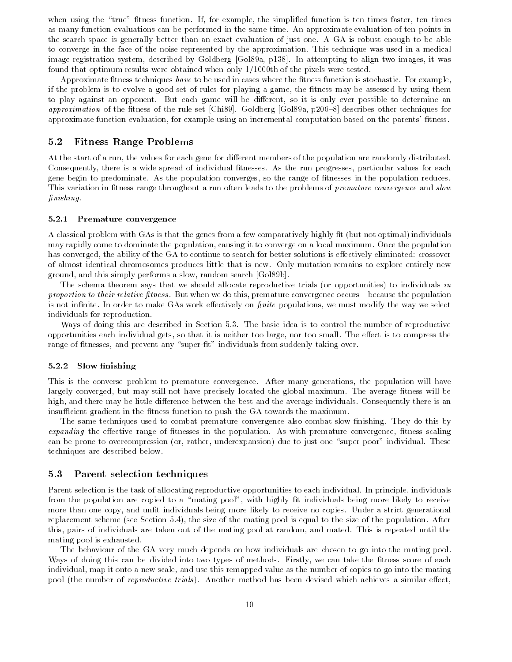when using the "true" fitness function. If, for example, the simplified function is ten times faster, ten times as many function evaluations can be performed in the same time. An approximate evaluation of ten points in the search space is generally better than an exact evaluation of just one. A GA is robust enough to be able to converge in the face of the noise represented by the approximation. This technique was used in a medical image registration system, described by Goldberg [Gol89a, p138]. In attempting to align two images, it was found that optimum results were obtained when only 1/1000th of the pixels were tested.

Approximate fitness techniques *have* to be used in cases where the fitness function is stochastic. For example, if the problem is to evolve a good set of rules for playing a game, the fitness may be assessed by using them to play against an opponent. But each game will be different, so it is only ever possible to determine an approximation of the fitness of the rule set [Chi89]. Goldberg [Gol89a, p206-8] describes other techniques for approximate function evaluation, for example using an incremental computation based on the parents' fitness.

#### 5.2Fitness Range Problems

At the start of a run, the values for each gene for different members of the population are randomly distributed. Consequently, there is a wide spread of individual fitnesses. As the run progresses, particular values for each gene begin to predominate. As the population converges, so the range of fitnesses in the population reduces. This variation in fitness range throughout a run often leads to the problems of premature convergence and slow finishing.

### 5.2.1 Premature convergence

A classical problem with GAs is that the genes from a few comparatively highly fit (but not optimal) individuals may rapidly come to dominate the population, causing it to converge on a local maximum. Once the population has converged, the ability of the GA to continue to search for better solutions is effectively eliminated: crossover of almost identical chromosomes produces little that is new. Only mutation remains to explore entirely new ground, and this simply performs a slow, random search [Gol89b].

The schema theorem says that we should allocate reproductive trials (or opportunities) to individuals in proportion to their relative fitness. But when we do this, premature convergence occurs—because the population is not infinite. In order to make GAs work effectively on *finite* populations, we must modify the way we select individuals for reproduction.

Ways of doing this are described in Section 5.3. The basic idea is to control the number of reproductive opportunities each individual gets, so that it is neither too large, nor too small. The effect is to compress the range of fitnesses, and prevent any "super-fit" individuals from suddenly taking over.

### 5.2.2 Slow finishing

This is the converse problem to premature convergence. After many generations, the population will have largely converged, but may still not have precisely located the global maximum. The average fitness will be high, and there may be little difference between the best and the average individuals. Consequently there is an insufficient gradient in the fitness function to push the GA towards the maximum.

The same techniques used to combat premature convergence also combat slow finishing. They do this by expanding the effective range of fitnesses in the population. As with premature convergence, fitness scaling can be prone to overcompression (or, rather, underexpansion) due to just one "super poor" individual. These techniques are described below.

#### 5.3Parent selection techniques

Parent selection is the task of allocating reproductive opportunities to each individual. In principle, individuals from the population are copied to a "mating pool", with highly fit individuals being more likely to receive more than one copy, and unfit individuals being more likely to receive no copies. Under a strict generational replacement scheme (see Section 5.4), the size of the mating pool is equal to the size of the population. After this, pairs of individuals are taken out of the mating pool at random, and mated. This is repeated until the mating pool is exhausted.

The behaviour of the GA very much depends on how individuals are chosen to go into the mating pool. Ways of doing this can be divided into two types of methods. Firstly, we can take the fitness score of each individual, map it onto a new scale, and use this remapped value as the number of copies to go into the mating pool (the number of *reproductive trials*). Another method has been devised which achieves a similar effect,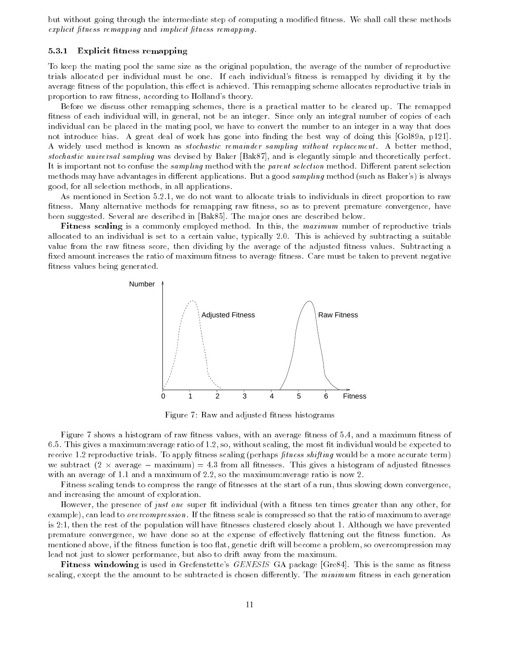but without going through the intermediate step of computing a modified fitness. We shall call these methods explicit fitness remapping and implicit fitness remapping.

### 5.3.1 Explicit fitness remapping

To keep the mating pool the same size as the original population, the average of the number of reproductive trials allocated per individual must be one. If each individual's fitness is remapped by dividing it by the average fitness of the population, this effect is achieved. This remapping scheme allocates reproductive trials in proportion to raw fitness, according to Holland's theory.

Before we discuss other remapping schemes, there is a practical matter to be cleared up. The remapped fitness of each individual will, in general, not be an integer. Since only an integral number of copies of each individual can be placed in the mating pool, we have to convert the number to an integer in a way that does not introduce bias. A great deal of work has gone into finding the best way of doing this [Gol89a, p121]. A widely used method is known as stochastic remainder sampling without replacement . A better method, stochastic universal sampling was devised by Baker [Bak87], and is elegantly simple and theoretically perfect. It is important not to confuse the *sampling* method with the *parent selection* method. Different parent selection methods may have advantages in different applications. But a good sampling method (such as Baker's) is always good, for all selection methods, in all applications.

As mentioned in Section 5.2.1, we do not want to allocate trials to individuals in direct proportion to raw fitness. Many alternative methods for remapping raw fitness, so as to prevent premature convergence, have been suggested. Several are described in [Bak85]. The major ones are described below.

**Fitness scaling** is a commonly employed method. In this, the *maximum* number of reproductive trials allocated to an individual is set to a certain value, typically 2.0. This is achieved by subtracting a suitable value from the raw fitness score, then dividing by the average of the adjusted fitness values. Subtracting a fixed amount increases the ratio of maximum fitness to average fitness. Care must be taken to prevent negative fitness values being generated.



Figure 7: Raw and adjusted fitness histograms

Figure 7 shows a histogram of raw fitness values, with an average fitness of 5.4, and a maximum fitness of 6.5. This gives a maximum: average ratio of  $1.2$ , so, without scaling, the most fit individual would be expected to receive 1.2 reproductive trials. To apply fitness scaling (perhaps *fitness shifting* would be a more accurate term) we subtract (2  $\times$  average  $-$  maximum)  $=4.3$  from all fitnesses. This gives a histogram of adjusted fitnesses with an average of 1.1 and a maximum of 2.2, so the maximum:average ratio is now 2.

Fitness scaling tends to compress the range of fitnesses at the start of a run, thus slowing down convergence, and increasing the amount of exploration.

However, the presence of just one super fit individual (with a fitness ten times greater than any other, for example), can lead to overcompression. If the fitness scale is compressed so that the ratio of maximum to average is 2:1, then the rest of the population will have fitnesses clustered closely about 1. Although we have prevented premature convergence, we have done so at the expense of effectively flattening out the fitness function. As mentioned above, if the fitness function is too flat, genetic drift will become a problem, so overcompression may lead not just to slower performance, but also to drift away from the maximum.

Fitness windowing is used in Grefenstette's *GENESIS* GA package [Gre84]. This is the same as fitness scaling, except the the amount to be subtracted is chosen differently. The minimum fitness in each generation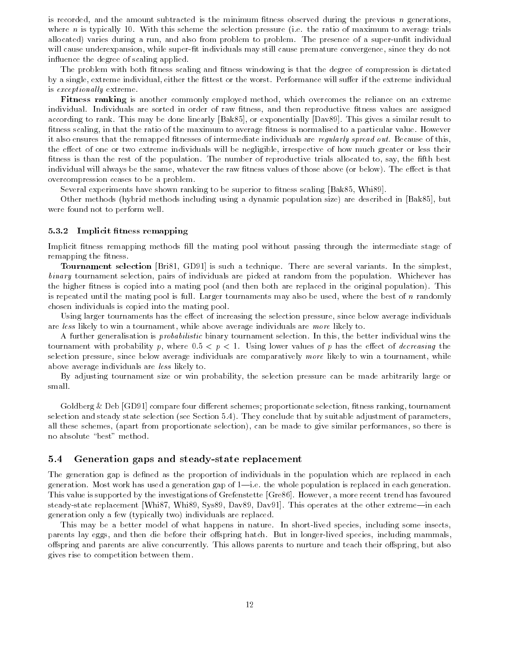is recorded, and the amount subtracted is the minimum fitness observed during the previous  $n$  generations, where n is typically 10. With this scheme the selection pressure (i.e. the ratio of maximum to average trials allocated) varies during a run, and also from problem to problem. The presence of a super-unt individual will cause underexpansion, while super-fit individuals may still cause premature convergence, since they do not in
uence the degree of scaling applied.

The problem with both fitness scaling and fitness windowing is that the degree of compression is dictated by a single, extreme individual, either the fittest or the worst. Performance will suffer if the extreme individual is *exceptionally* extreme.

Fitness ranking is another commonly employed method, which overcomes the reliance on an extreme individual. Individuals are sorted in order of raw fitness, and then reproductive fitness values are assigned according to rank. This may be done linearly [Bak85], or exponentially [Dav89]. This gives a similar result to fitness scaling, in that the ratio of the maximum to average fitness is normalised to a particular value. However it also ensures that the remapped fitnesses of intermediate individuals are regularly spread out. Because of this, the effect of one or two extreme individuals will be negligible, irrespective of how much greater or less their fitness is than the rest of the population. The number of reproductive trials allocated to, say, the fifth best individual will always be the same, whatever the raw fitness values of those above (or below). The effect is that overcompression ceases to be a problem.

Several experiments have shown ranking to be superior to fitness scaling [Bak85, Whi89].

Other methods (hybrid methods including using a dynamic population size) are described in [Bak85], but were found not to perform well.

### 5.3.2 Implicit tness remapping

Implicit fitness remapping methods fill the mating pool without passing through the intermediate stage of remapping the fitness.

Tournament selection [Bri81, GD91] is such a technique. There are several variants. In the simplest, binary tournament selection, pairs of individuals are picked at random from the population. Whichever has the higher fitness is copied into a mating pool (and then both are replaced in the original population). This is repeated until the mating pool is full. Larger tournaments may also be used, where the best of  $n$  randomly chosen individuals is copied into the mating pool.

Using larger tournaments has the effect of increasing the selection pressure, since below average individuals are less likely to win a tournament, while above average individuals are more likely to.

A further generalisation is probabilistic binary tournament selection. In this, the better individual wins the tournament with probability p, where  $0.5 < p < 1$ . Using lower values of p has the effect of decreasing the selection pressure, since below average individuals are comparatively more likely to win a tournament, while above average individuals are less likely to.

By adjusting tournament size or win probability, the selection pressure can be made arbitrarily large or small.

Goldberg & Deb  $[GD91]$  compare four different schemes; proportionate selection, fitness ranking, tournament selection and steady state selection (see Section 5.4). They conclude that by suitable adjustment of parameters, all these schemes, (apart from proportionate selection), can be made to give similar performances, so there is no absolute "best" method.

#### 5.4Generation gaps and steady-state replacement

The generation gap is defined as the proportion of individuals in the population which are replaced in each generation. Most work has used a generation gap of  $1$ —i.e. the whole population is replaced in each generation. This value is supported by the investigations of Grefenstette [Gre86]. However, a more recent trend has favoured steady-state replacement [Whi87, Whi89, Sys89, Dav89, Dav91]. This operates at the other extreme—in each generation only a few (typically two) individuals are replaced.

This may be a better model of what happens in nature. In short-lived species, including some insects, parents lay eggs, and then die before their offspring hatch. But in longer-lived species, including mammals, offspring and parents are alive concurrently. This allows parents to nurture and teach their offspring, but also gives rise to competition between them.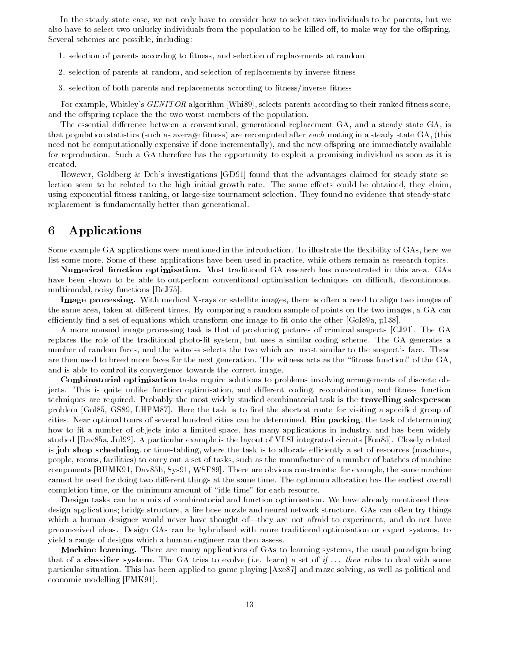In the steady-state case, we not only have to consider how to select two individuals to be parents, but we also have to select two unlucky individuals from the population to be killed off, to make way for the offspring. Several schemes are possible, including:

- 1. selection of parents according to fitness, and selection of replacements at random
- 2. selection of parents at random, and selection of replacements by inverse fitness
- 3. selection of both parents and replacements according to fitness/inverse fitness

For example, Whitley's GENITOR algorithm [Whi89], selects parents according to their ranked fitness score, and the offspring replace the the two worst members of the population.

The essential difference between a conventional, generational replacement GA, and a steady state GA, is that population statistics (such as average fitness) are recomputed after each mating in a steady state  $GA$ , (this need not be computationally expensive if done incrementally), and the new offspring are immediately available for reproduction. Such a GA therefore has the opportunity to exploit a promising individual as soon as it is created.

However, Goldberg & Deb's investigations [GD91] found that the advantages claimed for steady-state selection seem to be related to the high initial growth rate. The same effects could be obtained, they claim using exponential fitness ranking, or large-size tournament selection. They found no evidence that steady-state replacement is fundamentally better than generational.

## 6 Applications

Some example GA applications were mentioned in the introduction. To illustrate the flexibility of GAs, here we list some more. Some of these applications have been used in practice, while others remain as research topics.

Numerical function optimisation. Most traditional GA research has concentrated in this area. GAs have been shown to be able to outperform conventional optimisation techniques on difficult, discontinuous, multimodal, noisy functions [DeJ75].

Image processing. With medical X-rays or satellite images, there is often a need to align two images of the same area, taken at different times. By comparing a random sample of points on the two images, a GA can efficiently find a set of equations which transform one image to fit onto the other [Gol89a, p138].

A more unusual image processing task is that of producing pictures of criminal suspects [CJ91]. The GA replaces the role of the traditional photo-fit system, but uses a similar coding scheme. The GA generates a number of random faces, and the witness selects the two which are most similar to the suspect's face. These are then used to breed more faces for the next generation. The witness acts as the "fitness function" of the  $GA$ . and is able to control its convergence towards the correct image.

Combinatorial optimisation tasks require solutions to problems involving arrangements of discrete objects. This is quite unlike function optimisation, and different coding, recombination, and fitness function techniques are required. Probably the most widely studied combinatorial task is the travelling salesperson problem [Gol85, GS89, LHPM87]. Here the task is to find the shortest route for visiting a specified group of cities. Near optimal tours of several hundred cities can be determined. Bin packing, the task of determining how to fit a number of objects into a limited space, has many applications in industry, and has been widely studied [Dav85a, Jul92]. A particular example is the layout of VLSI integrated circuits [Fou85]. Closely related is job shop scheduling, or time-tabling, where the task is to allocate efficiently a set of resources (machines, people, rooms, facilities) to carry out a set of tasks, such as the manufacture of a number of batches of machine components [BUMK91, Dav85b, Sys91, WSF89]. There are obvious constraints: for example, the same machine cannot be used for doing two different things at the same time. The optimum allocation has the earliest overall completion time, or the minimum amount of \idle time" for each resource.

Design tasks can be a mix of combinatorial and function optimisation. We have already mentioned three design applications; bridge structure, a fire hose nozzle and neural network structure. GAs can often try things which a human designer would never have thought of-they are not afraid to experiment, and do not have preconceived ideas. Design GAs can be hybridised with more traditional optimisation or expert systems, to yield a range of designs which a human engineer can then assess.

Machine learning. There are many applications of GAs to learning systems, the usual paradigm being that of a classifier system. The GA tries to evolve (i.e. learn) a set of if  $\ldots$  then rules to deal with some particular situation. This has been applied to game playing [Axe87] and maze solving, as well as political and economic modelling [FMK91].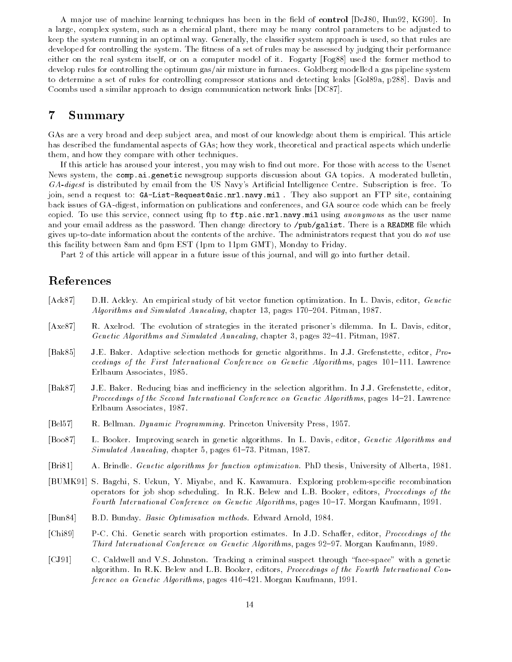A major use of machine learning techniques has been in the field of control [DeJ80, Hun92, KG90]. In a large, complex system, such as a chemical plant, there may be many control parameters to be adjusted to keep the system running in an optimal way. Generally, the classier system approach is used, so that rules are developed for controlling the system. The fitness of a set of rules may be assessed by judging their performance either on the real system itself, or on a computer model of it. Fogarty [Fog88] used the former method to develop rules for controlling the optimum gas/air mixture in furnaces. Goldberg modelled a gas pipeline system to determine a set of rules for controlling compressor stations and detecting leaks [Gol89a, p288]. Davis and Coombs used a similar approach to design communication network links [DC87].

#### $\overline{7}$ **Summary**

GAs are a very broad and deep subject area, and most of our knowledge about them is empirical. This article has described the fundamental aspects of GAs; how they work, theoretical and practical aspects which underlie them, and how they compare with other techniques.

If this article has aroused your interest, you may wish to find out more. For those with access to the Usenet News system, the comp.ai.genetic newsgroup supports discussion about GA topics. A moderated bulletin, GA-digest is distributed by email from the US Navy's Articial Intelligence Centre. Subscription is free. To join, send a request to: GA-List-Request@aic.nrl.navy.mil . They also support an FTP site, containing back issues of GA-digest, information on publications and conferences, and GA source code which can be freely copied. To use this service, connect using ftp to ftp.aic.nrl.navy.mil using anonymous as the user name and your email address as the password. Then change directory to /pub/galist. There is a README file which gives up-to-date information about the contents of the archive. The administrators request that you do not use this facility between 8am and 6pm EST (1pm to 11pm GMT), Monday to Friday.

Part 2 of this article will appear in a future issue of this journal, and will go into further detail.

### References

- [Ack87] D.H. Ackley. An empirical study of bit vector function optimization. In L. Davis, editor, Genetic Algorithms and Simulated Annealing, chapter 13, pages  $170{-}204$ . Pitman, 1987.
- [Axe87] R. Axelrod. The evolution of strategies in the iterated prisoner's dilemma. In L. Davis, editor, Genetic Algorithms and Simulated Annealing, chapter 3, pages  $32-41$ . Pitman, 1987.
- [Bak85] J.E. Baker. Adaptive selection methods for genetic algorithms. In J.J. Grefenstette, editor, Proceedings of the First International Conference on Genetic Algorithms, pages  $101-111$ . Lawrence Erlbaum Associates, 1985.
- [Bak87] J.E. Baker. Reducing bias and inefficiency in the selection algorithm. In J.J. Grefenstette, editor, Proceedings of the Second International Conference on Genetic Algorithms, pages 14-21. Lawrence Erlbaum Associates, 1987.
- [Bel57] R. Bellman. Dynamic Programming. Princeton University Press, 1957.
- [Boo87] L. Booker. Improving search in genetic algorithms. In L. Davis, editor, Genetic Algorithms and Simulated Annealing, chapter 5, pages  $61-73$ . Pitman, 1987.
- [Bri81] A. Brindle. Genetic algorithms for function optimization. PhD thesis, University of Alberta, 1981.
- [BUMK91] S. Bagchi, S. Uckun, Y. Miyabe, and K. Kawamura. Exploring problem-specic recombination operators for job shop scheduling. In R.K. Belew and L.B. Booker, editors, Proceedings of the Fourth International Conference on Genetic Algorithms, pages 10-17. Morgan Kaufmann, 1991.
- [Bun84] B.D. Bunday. Basic Optimisation methods. Edward Arnold, 1984.
- [Chi89] P-C. Chi. Genetic search with proportion estimates. In J.D. Schaffer, editor, Proceedings of the Third International Conference on Genetic Algorithms, pages 92-97. Morgan Kaufmann, 1989.
- [CJ91] C. Caldwell and V.S. Johnston. Tracking a criminal suspect through \face-space" with a genetic algorithm. In R.K. Belew and L.B. Booker, editors, Proceedings of the Fourth International Conference on Genetic Algorithms, pages 416-421. Morgan Kaufmann, 1991.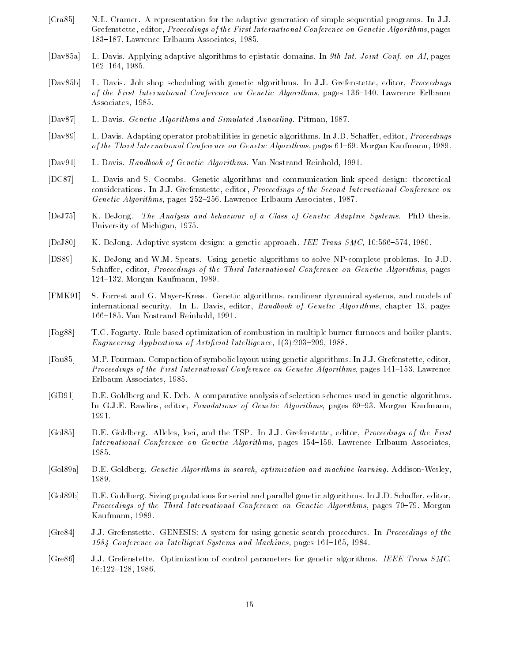- [Cra85] N.L. Cramer. A representation for the adaptive generation of simple sequential programs. In J.J. Grefenstette, editor, Proceedings of the First International Conference on Genetic Algorithms, pages 183{187. Lawrence Erlbaum Associates, 1985.
- [Dav85a] L. Davis. Applying adaptive algorithms to epistatic domains. In 9th Int. Joint Conf. on AI, pages 162-164, 1985.
- [Dav85b] L. Davis. Job shop scheduling with genetic algorithms. In J.J. Grefenstette, editor, Proceedings of the First International Conference on Genetic Algorithms, pages 136-140. Lawrence Erlbaum Associates, 1985.
- [Dav87] L. Davis. Genetic Algorithms and Simulated Annealing. Pitman, 1987.
- [Dav89] L. Davis. Adapting operator probabilities in genetic algorithms. In J.D. Schaffer, editor, Proceedings of the Third International Conference on Genetic Algorithms, pages 61–69. Morgan Kaufmann, 1989.
- [Dav91] L. Davis. Handbook of Genetic Algorithms. Van Nostrand Reinhold, 1991.
- [DC87] L. Davis and S. Coombs. Genetic algorithms and communication link speed design: theoretical considerations. In J.J. Grefenstette, editor, Proceedings of the Second International Conference on Genetic Algorithms, pages  $252-256$ . Lawrence Erlbaum Associates, 1987.
- [DeJ75] K. DeJong. The Analysis and behaviour of a Class of Genetic Adaptive Systems. PhD thesis, University of Michigan, 1975.
- [DeJ80] K. DeJong. Adaptive system design: a genetic approach. IEE Trans SMC, 10:566-574, 1980.
- [DS89] K. DeJong and W.M. Spears. Using genetic algorithms to solve NP-complete problems. In J.D. Schaffer, editor, Proceedings of the Third International Conference on Genetic Algorithms, pages 124{132. Morgan Kaufmann, 1989.
- [FMK91] S. Forrest and G. Mayer-Kress. Genetic algorithms, nonlinear dynamical systems, and models of international security. In L. Davis, editor, Handbook of Genetic Algorithms, chapter 13, pages 166{185. Van Nostrand Reinhold, 1991.
- [Fog88] T.C. Fogarty. Rule-based optimization of combustion in multiple burner furnaces and boiler plants. Engineering Applications of Artificial Intelligence,  $1(3):203-209$ , 1988.
- [Fou85] M.P. Fourman. Compaction of symbolic layout using genetic algorithms. In J.J. Grefenstette, editor, Proceedings of the First International Conference on Genetic Algorithms, pages 141-153. Lawrence Erlbaum Associates, 1985.
- [GD91] D.E. Goldberg and K. Deb. A comparative analysis of selection schemes used in genetic algorithms. In G.J.E. Rawlins, editor, Foundations of Genetic Algorithms, pages 69–93. Morgan Kaufmann, 1991.
- [Gol85] D.E. Goldberg. Alleles, loci, and the TSP. In J.J. Grefenstette, editor, Proceedings of the First International Conference on Genetic Algorithms, pages 154-159. Lawrence Erlbaum Associates, 1985.
- [Gol89a] D.E. Goldberg. Genetic Algorithms in search, optimization and machine learning. Addison-Wesley, 1989.
- [Gol89b] D.E. Goldberg. Sizing populations for serial and parallel genetic algorithms. In J.D. Schaffer, editor, Proceedings of the Third International Conference on Genetic Algorithms, pages 70-79. Morgan Kaufmann, 1989.
- [Gre84] J.J. Grefenstette. GENESIS: A system for using genetic search procedures. In Proceedings of the 1984 Conference on Intelligent Systems and Machines, pages 161-165, 1984.
- [Gre86] J.J. Grefenstette. Optimization of control parameters for genetic algorithms. IEEE Trans SMC, 16:122-128, 1986.